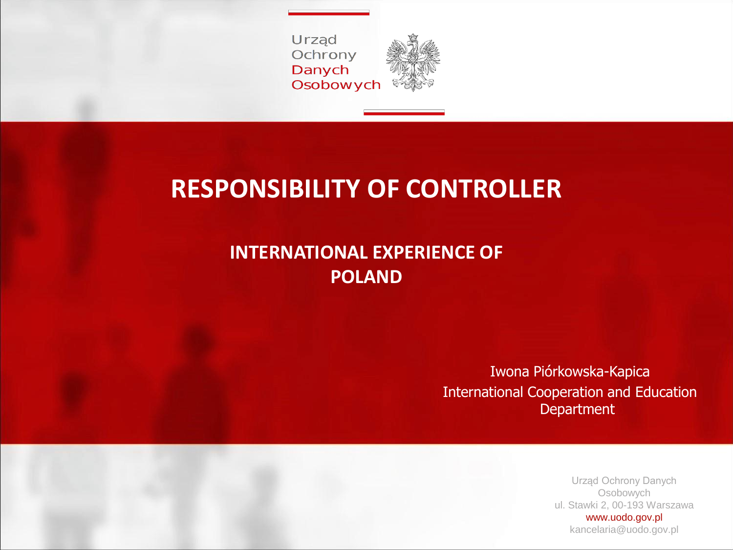Urząd Ochrony Danych **Osobowych** 



#### **RESPONSIBILITY OF CONTROLLER**

#### **INTERNATIONAL EXPERIENCE OF POLAND**

Iwona Piórkowska-Kapica International Cooperation and Education Department

> Urząd Ochrony Danych Osobowych ul. Stawki 2, 00-193 Warszawa www.uodo.gov.pl kancelaria@uodo.gov.pl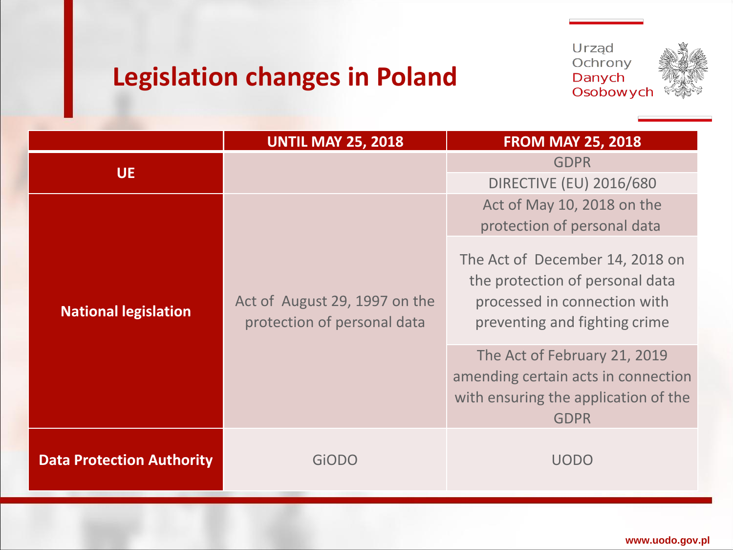# **Legislation changes in Poland**





|                                  | <b>UNTIL MAY 25, 2018</b>                                    | <b>FROM MAY 25, 2018</b>                                                                                                            |  |
|----------------------------------|--------------------------------------------------------------|-------------------------------------------------------------------------------------------------------------------------------------|--|
| <b>UE</b>                        |                                                              | <b>GDPR</b>                                                                                                                         |  |
|                                  |                                                              | <b>DIRECTIVE (EU) 2016/680</b>                                                                                                      |  |
| <b>National legislation</b>      | Act of August 29, 1997 on the<br>protection of personal data | Act of May 10, 2018 on the<br>protection of personal data                                                                           |  |
|                                  |                                                              | The Act of December 14, 2018 on<br>the protection of personal data<br>processed in connection with<br>preventing and fighting crime |  |
|                                  |                                                              | The Act of February 21, 2019<br>amending certain acts in connection<br>with ensuring the application of the<br><b>GDPR</b>          |  |
| <b>Data Protection Authority</b> | GiODO                                                        | <b>UODO</b>                                                                                                                         |  |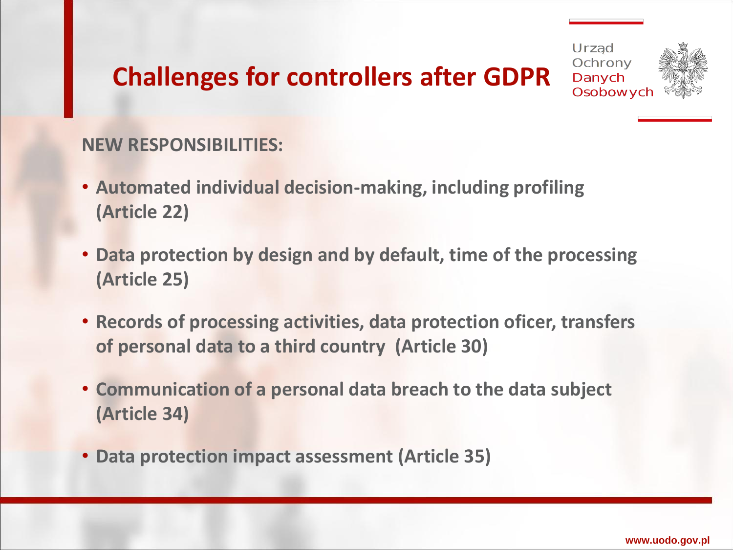### **Challenges for controllers after GDPR**





#### **NEW RESPONSIBILITIES:**

- **Automated individual decision-making, including profiling (Article 22)**
- **Data protection by design and by default, time of the processing (Article 25)**
- **Records of processing activities, data protection oficer, transfers of personal data to a third country (Article 30)**
- **Communication of a personal data breach to the data subject (Article 34)**
- **Data protection impact assessment (Article 35)**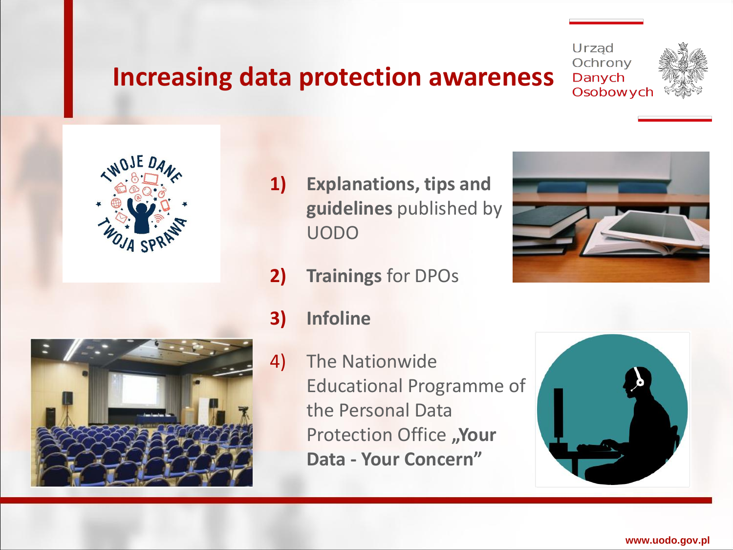#### **Increasing data protection awareness**







- **1) Explanations, tips and guidelines** published by UODO
- **2) Trainings** for DPOs





- **3) Infoline**
- 4) The Nationwide Educational Programme of the Personal Data **Protection Office "Your Data - Your Concern"**



**www.uodo.gov.pl**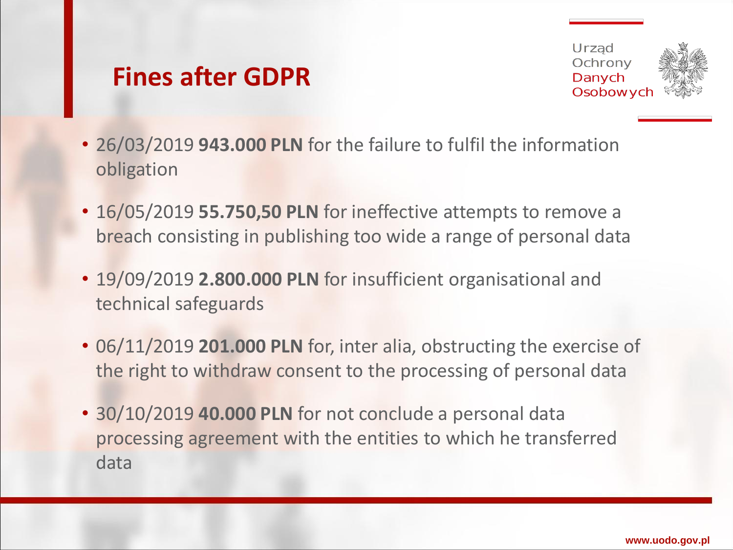#### **Fines after GDPR**



- 26/03/2019 **943.000 PLN** for the failure to fulfil the information obligation
- 16/05/2019 **55.750,50 PLN** for ineffective attempts to remove a breach consisting in publishing too wide a range of personal data
- 19/09/2019 **2.800.000 PLN** for insufficient organisational and technical safeguards
- 06/11/2019 **201.000 PLN** for, inter alia, obstructing the exercise of the right to withdraw consent to the processing of personal data
- 30/10/2019 **40.000 PLN** for not conclude a personal data processing agreement with the entities to which he transferred data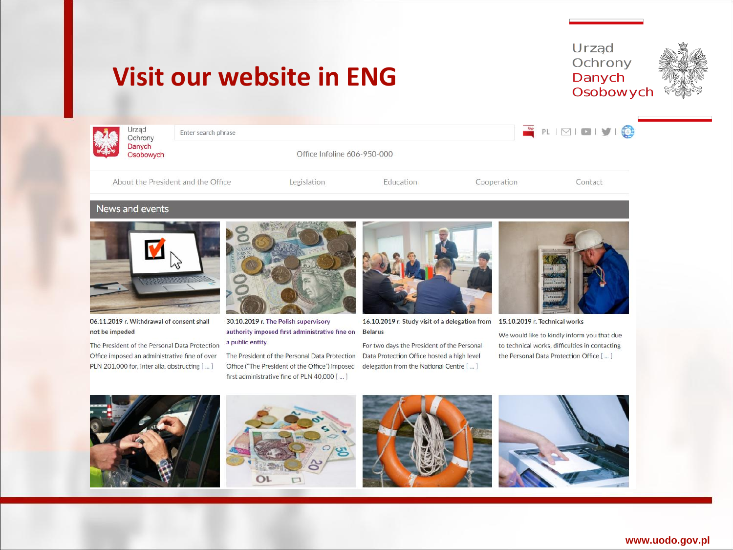## **Visit our website in ENG**





| 大変に | Urzad<br>Ochrony    | Enter search phrase                |                             |           |             | PLIMIDIYIQ |
|-----|---------------------|------------------------------------|-----------------------------|-----------|-------------|------------|
|     | Danych<br>Osobowych |                                    | Office Infoline 606-950-000 |           |             |            |
|     |                     | About the President and the Office | <b>Legislation</b>          | Education | Cooperation | Contact    |

#### News and events



06.11.2019 r. Withdrawal of consent shall not be impeded

The President of the Personal Data Protection Office imposed an administrative fine of over PLN 201,000 for, inter alia, obstructing [ ... ]



30.10.2019 r. The Polish supervisory authority imposed first administrative fine on Belarus a public entity

The President of the Personal Data Protection Office ("The President of the Office") imposed first administrative fine of PLN 40,000 [ ... ]



16.10.2019 r. Study visit of a delegation from 15.10.2019 r. Technical works

For two days the President of the Personal Data Protection Office hosted a high level delegation from the National Centre [ ... ]



We would like to kindly inform you that due to technical works, difficulties in contacting the Personal Data Protection Office [ ... ]





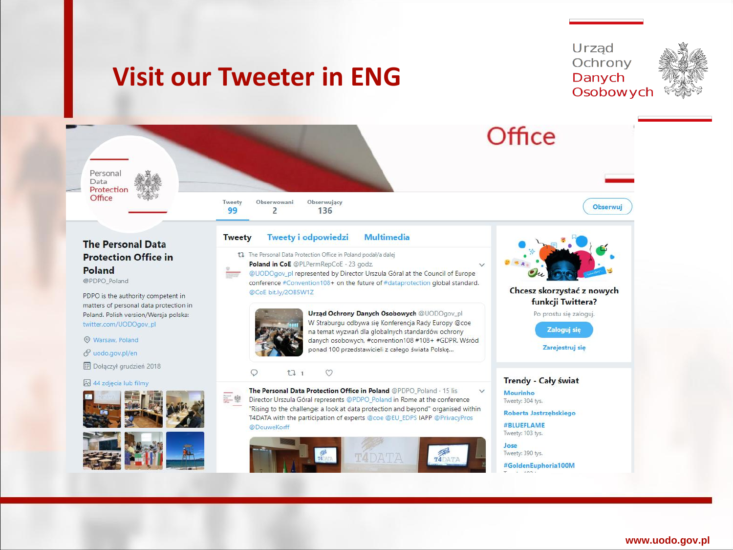## **Visit our Tweeter in ENG**





**Poland** @PDPO Poland PDPO is the authority competent in

matters of personal data protection in Poland. Polish version/Wersja polska: twitter.com/UODOgov\_pl

**O** Warsaw, Poland

Data

Office

 $\mathscr O$  uodo.gov.pl/en

**ED** Dołączył grudzień 2018

#### 44 zdjecia lub filmy